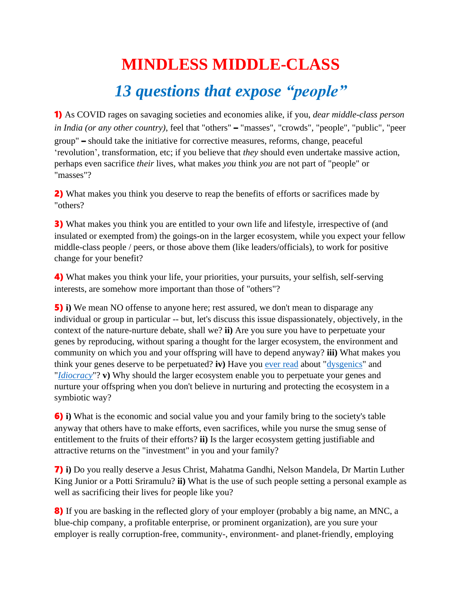## **MINDLESS MIDDLE-CLASS** *13 questions that expose "people"*

1) As COVID rages on savaging societies and economies alike, if you, *dear middle-class person in India (or any other country)*, feel that "others" – "masses", "crowds", "people", "public", "peer group" – should take the initiative for corrective measures, reforms, change, peaceful 'revolution', transformation, etc; if you believe that *they* should even undertake massive action, perhaps even sacrifice *their* lives, what makes *you* think *you* are not part of "people" or "masses"?

2) What makes you think you deserve to reap the benefits of efforts or sacrifices made by "others?

**3)** What makes you think you are entitled to your own life and lifestyle, irrespective of (and insulated or exempted from) the goings-on in the larger ecosystem, while you expect your fellow middle-class people / peers, or those above them (like leaders/officials), to work for positive change for your benefit?

4) What makes you think your life, your priorities, your pursuits, your selfish, self-serving interests, are somehow more important than those of "others"?

5) **i)** We mean NO offense to anyone here; rest assured, we don't mean to disparage any individual or group in particular -- but, let's discuss this issue dispassionately, objectively, in the context of the nature-nurture debate, shall we? **ii)** Are you sure you have to perpetuate your genes by reproducing, without sparing a thought for the larger ecosystem, the environment and community on which you and your offspring will have to depend anyway? **iii)** What makes you think your genes deserve to be perpetuated? **iv)** Have you [ever read](https://en.wikipedia.org/wiki/Dysgenics) about ["dysgenics"](https://www.lexico.com/definition/dysgenic?s=t) and "*[Idiocracy](https://en.wikipedia.org/wiki/Idiocracy)*"? **v)** Why should the larger ecosystem enable you to perpetuate your genes and nurture your offspring when you don't believe in nurturing and protecting the ecosystem in a symbiotic way?

6) **i)** What is the economic and social value you and your family bring to the society's table anyway that others have to make efforts, even sacrifices, while you nurse the smug sense of entitlement to the fruits of their efforts? **ii)** Is the larger ecosystem getting justifiable and attractive returns on the "investment" in you and your family?

7) **i)** Do you really deserve a Jesus Christ, Mahatma Gandhi, Nelson Mandela, Dr Martin Luther King Junior or a Potti Sriramulu? **ii)** What is the use of such people setting a personal example as well as sacrificing their lives for people like you?

8) If you are basking in the reflected glory of your employer (probably a big name, an MNC, a blue-chip company, a profitable enterprise, or prominent organization), are you sure your employer is really corruption-free, community-, environment- and planet-friendly, employing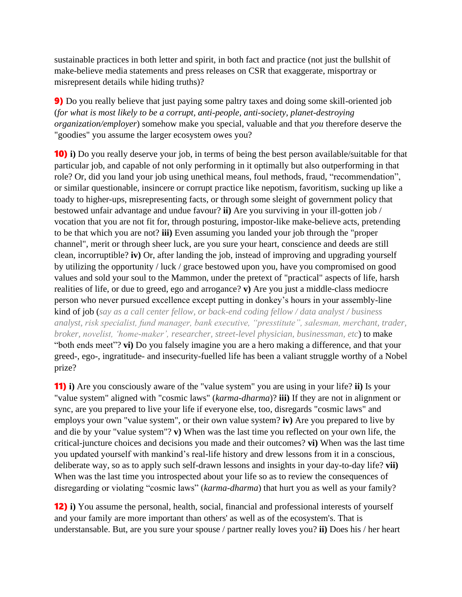sustainable practices in both letter and spirit, in both fact and practice (not just the bullshit of make-believe media statements and press releases on CSR that exaggerate, misportray or misrepresent details while hiding truths)?

9) Do you really believe that just paying some paltry taxes and doing some skill-oriented job (*for what is most likely to be a corrupt, anti-people, anti-society, planet-destroying organization/employer*) somehow make you special, valuable and that *you* therefore deserve the "goodies" you assume the larger ecosystem owes you?

10) **i)** Do you really deserve your job, in terms of being the best person available/suitable for that particular job, and capable of not only performing in it optimally but also outperforming in that role? Or, did you land your job using unethical means, foul methods, fraud, "recommendation", or similar questionable, insincere or corrupt practice like nepotism, favoritism, sucking up like a toady to higher-ups, misrepresenting facts, or through some sleight of government policy that bestowed unfair advantage and undue favour? **ii)** Are you surviving in your ill-gotten job / vocation that you are not fit for, through posturing, impostor-like make-believe acts, pretending to be that which you are not? **iii)** Even assuming you landed your job through the "proper channel", merit or through sheer luck, are you sure your heart, conscience and deeds are still clean, incorruptible? **iv)** Or, after landing the job, instead of improving and upgrading yourself by utilizing the opportunity / luck / grace bestowed upon you, have you compromised on good values and sold your soul to the Mammon, under the pretext of "practical" aspects of life, harsh realities of life, or due to greed, ego and arrogance? **v)** Are you just a middle-class mediocre person who never pursued excellence except putting in donkey's hours in your assembly-line kind of job (*say as a call center fellow, or back-end coding fellow / data analyst / business analyst, risk specialist, fund manager, bank executive, "presstitute", salesman, merchant, trader, broker, novelist, 'home-maker', researcher, street-level physician, businessman, etc*) to make "both ends meet"? **vi)** Do you falsely imagine you are a hero making a difference, and that your greed-, ego-, ingratitude- and insecurity-fuelled life has been a valiant struggle worthy of a Nobel prize?

11) **i)** Are you consciously aware of the "value system" you are using in your life? **ii)** Is your "value system" aligned with "cosmic laws" (*karma-dharma*)? **iii)** If they are not in alignment or sync, are you prepared to live your life if everyone else, too, disregards "cosmic laws" and employs your own "value system", or their own value system? **iv)** Are you prepared to live by and die by your "value system"? **v)** When was the last time you reflected on your own life, the critical-juncture choices and decisions you made and their outcomes? **vi)** When was the last time you updated yourself with mankind's real-life history and drew lessons from it in a conscious, deliberate way, so as to apply such self-drawn lessons and insights in your day-to-day life? **vii)** When was the last time you introspected about your life so as to review the consequences of disregarding or violating "cosmic laws" (*karma-dharma*) that hurt you as well as your family?

12) **i)** You assume the personal, health, social, financial and professional interests of yourself and your family are more important than others' as well as of the ecosystem's. That is understansable. But, are you sure your spouse / partner really loves you? **ii)** Does his / her heart